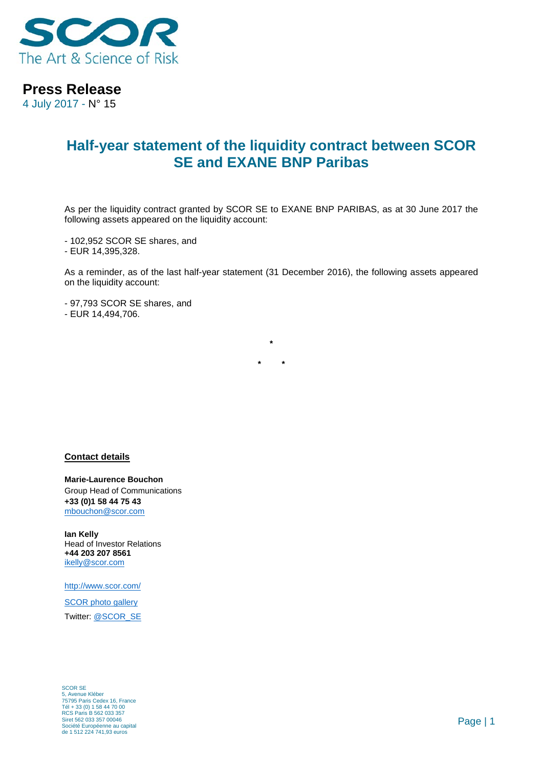

**Press Release**

4 July 2017 - N° 15

## **Half-year statement of the liquidity contract between SCOR SE and EXANE BNP Paribas**

As per the liquidity contract granted by SCOR SE to EXANE BNP PARIBAS, as at 30 June 2017 the following assets appeared on the liquidity account:

- 102,952 SCOR SE shares, and

- EUR 14,395,328.

As a reminder, as of the last half-year statement (31 December 2016), the following assets appeared on the liquidity account:

**\***

**\* \***

- 97,793 SCOR SE shares, and - EUR 14,494,706.

**Contact details**

**Marie-Laurence Bouchon** Group Head of Communications **+33 (0)1 58 44 75 43** [mbouchon@scor.com](mailto:mbouchon@scor.com)

**Ian Kelly** Head of Investor Relations **+44 203 207 8561** [ikelly@scor.com](mailto:ikelly@scor.com)

[http://www.scor.com/](http://www.scor.com/en/)

SCOR [photo gallery](http://scor.com/en/media/photo-gallery.html) Twitter: [@SCOR\\_SE](https://twitter.com/SCOR_SE)

SCOR SE 5, Avenue Kléber 75795 Paris Cedex 16, France Tél + 33 (0) 1 58 44 70 00 RCS Paris B 562 033 357 Siret 562 033 357 00046 Société Européenne au capital de 1 512 224 741,93 euros